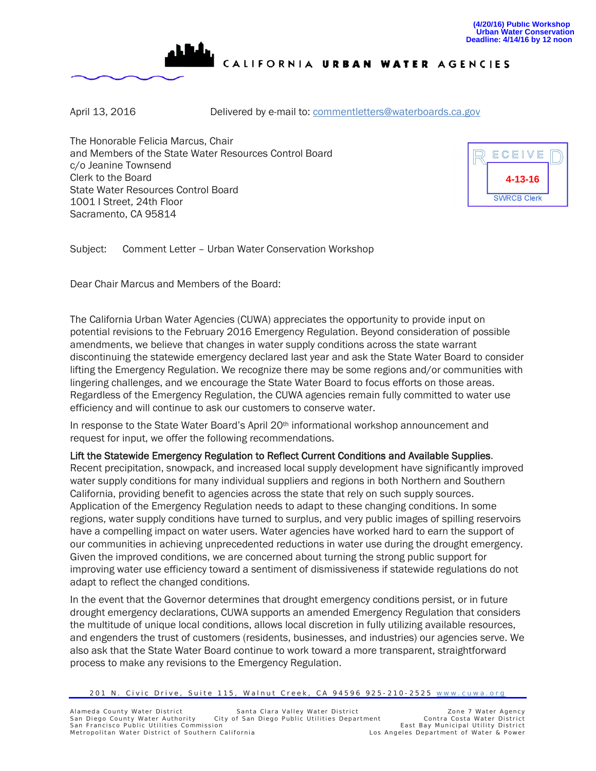

CALIFORNIA URBAN WATER AGENCIES

April 13, 2016 **Delivered by e-mail to: [commentletters@waterboards.ca.gov](mailto:commentletters@waterboards.ca.gov)** 

The Honorable Felicia Marcus, Chair and Members of the State Water Resources Control Board c/o Jeanine Townsend Clerk to the Board State Water Resources Control Board 1001 I Street, 24th Floor Sacramento, CA 95814



Subject: Comment Letter – Urban Water Conservation Workshop

Dear Chair Marcus and Members of the Board:

The California Urban Water Agencies (CUWA) appreciates the opportunity to provide input on potential revisions to the February 2016 Emergency Regulation. Beyond consideration of possible amendments, we believe that changes in water supply conditions across the state warrant discontinuing the statewide emergency declared last year and ask the State Water Board to consider lifting the Emergency Regulation. We recognize there may be some regions and/or communities with lingering challenges, and we encourage the State Water Board to focus efforts on those areas. Regardless of the Emergency Regulation, the CUWA agencies remain fully committed to water use efficiency and will continue to ask our customers to conserve water.

In response to the State Water Board's April 20<sup>th</sup> informational workshop announcement and request for input, we offer the following recommendations.

## Lift the Statewide Emergency Regulation to Reflect Current Conditions and Available Supplies.

Recent precipitation, snowpack, and increased local supply development have significantly improved water supply conditions for many individual suppliers and regions in both Northern and Southern California, providing benefit to agencies across the state that rely on such supply sources. Application of the Emergency Regulation needs to adapt to these changing conditions. In some regions, water supply conditions have turned to surplus, and very public images of spilling reservoirs have a compelling impact on water users. Water agencies have worked hard to earn the support of our communities in achieving unprecedented reductions in water use during the drought emergency. Given the improved conditions, we are concerned about turning the strong public support for improving water use efficiency toward a sentiment of dismissiveness if statewide regulations do not adapt to reflect the changed conditions.

In the event that the Governor determines that drought emergency conditions persist, or in future drought emergency declarations, CUWA supports an amended Emergency Regulation that considers the multitude of unique local conditions, allows local discretion in fully utilizing available resources, and engenders the trust of customers (residents, businesses, and industries) our agencies serve. We also ask that the State Water Board continue to work toward a more transparent, straightforward process to make any revisions to the Emergency Regulation.

<sup>201</sup> N. Civic Drive, Suite 115, Walnut Creek, CA 94596 925-210-2525 [www.cuwa.org](http://www.cuwa.org/)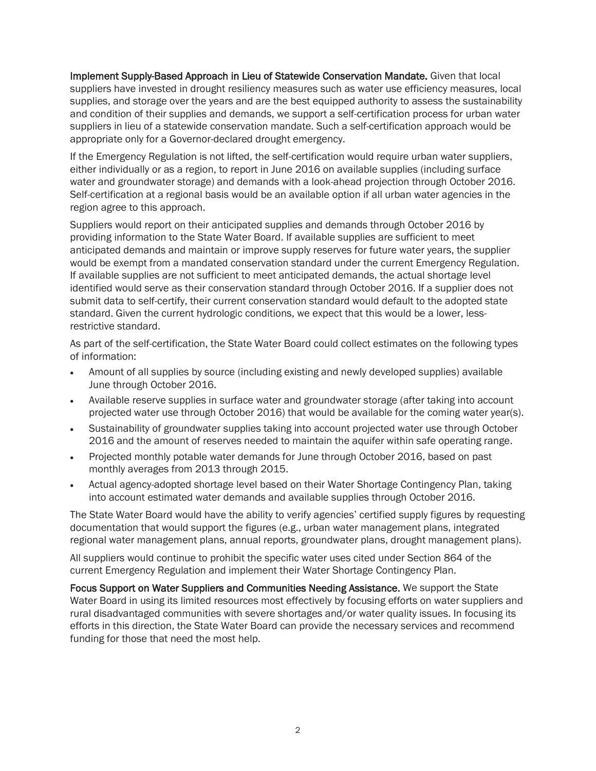Implement Supply-Based Approach in Lieu of Statewide Conservation Mandate. Given that local suppliers have invested in drought resiliency measures such as water use efficiency measures, local supplies, and storage over the years and are the best equipped authority to assess the sustainability and condition of their supplies and demands, we support a self-certification process for urban water suppliers in lieu of a statewide conservation mandate. Such a self-certification approach would be appropriate only for a Governor-declared drought emergency.

If the Emergency Regulation is not lifted, the self-certification would require urban water suppliers, either individually or as a region, to report in June 2016 on available supplies (including surface water and groundwater storage) and demands with a look-ahead projection through October 2016. Self-certification at a regional basis would be an available option if all urban water agencies in the region agree to this approach.

Suppliers would report on their anticipated supplies and demands through October 2016 by providing information to the State Water Board. If available supplies are sufficient to meet anticipated demands and maintain or improve supply reserves for future water years, the supplier would be exempt from a mandated conservation standard under the current Emergency Regulation. If available supplies are not sufficient to meet anticipated demands, the actual shortage level identified would serve as their conservation standard through October 2016. If a supplier does not submit data to self-certify, their current conservation standard would default to the adopted state standard. Given the current hydrologic conditions, we expect that this would be a lower, lessrestrictive standard.

As part of the self-certification, the State Water Board could collect estimates on the following types of information:

- Amount of all supplies by source (including existing and newly developed supplies) available June through October 2016.
- Available reserve supplies in surface water and groundwater storage (after taking into account projected water use through October 2016) that would be available for the coming water year(s).
- Sustainability of groundwater supplies taking into account projected water use through October 2016 and the amount of reserves needed to maintain the aquifer within safe operating range.
- Projected monthly potable water demands for June through October 2016, based on past monthly averages from 2013 through 2015.
- Actual agency-adopted shortage level based on their Water Shortage Contingency Plan, taking into account estimated water demands and available supplies through October 2016.

The State Water Board would have the ability to verify agencies' certified supply figures by requesting documentation that would support the figures (e.g., urban water management plans, integrated regional water management plans, annual reports, groundwater plans, drought management plans).

All suppliers would continue to prohibit the specific water uses cited under Section 864 of the current Emergency Regulation and implement their Water Shortage Contingency Plan.

Focus Support on Water Suppliers and Communities Needing Assistance. We support the State Water Board in using its limited resources most effectively by focusing efforts on water suppliers and rural disadvantaged communities with severe shortages and/or water quality issues. In focusing its efforts in this direction, the State Water Board can provide the necessary services and recommend funding for those that need the most help.